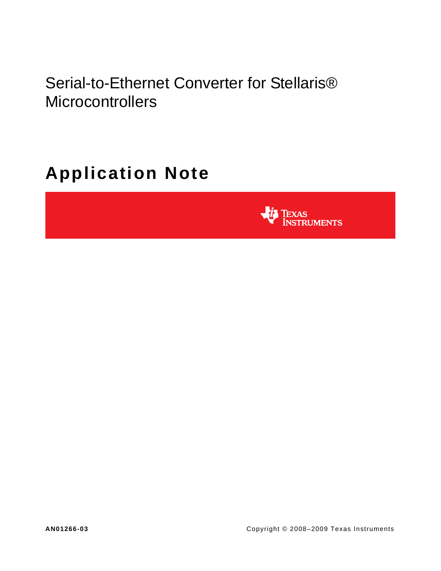Serial-to-Ethernet Converter for Stellaris® **Microcontrollers** 

# **Application Note**

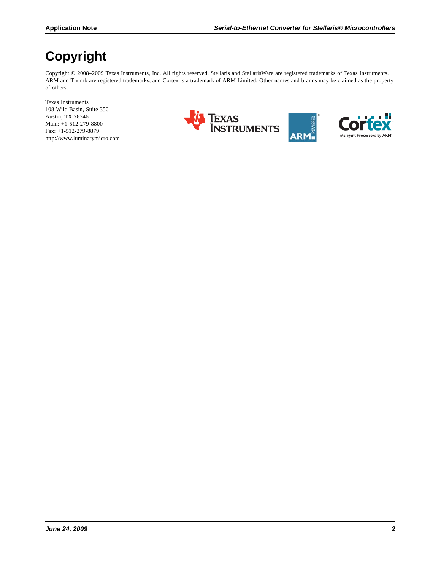# **Copyright**

Copyright © 2008-2009 Texas Instruments, Inc. All rights reserved. Stellaris and StellarisWare are registered trademarks of Texas Instruments. ARM and Thumb are registered trademarks, and Cortex is a trademark of ARM Limited. Other names and brands may be claimed as the property of others.

Texas Instruments 108 Wild Basin, Suite 350 Austin, TX 78746 Main: +1-512-279-8800 Fax: +1-512-279-8879 http://www.luminarymicro.com



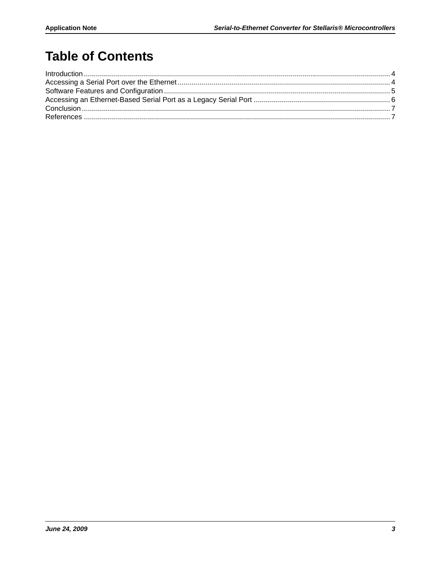# **Table of Contents**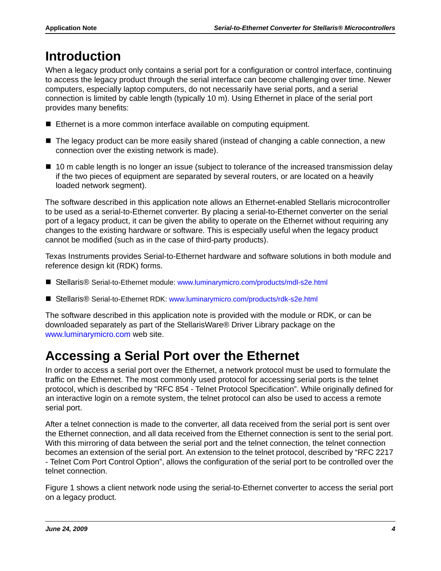# <span id="page-3-0"></span>**Introduction**

When a legacy product only contains a serial port for a configuration or control interface, continuing to access the legacy product through the serial interface can become challenging over time. Newer computers, especially laptop computers, do not necessarily have serial ports, and a serial connection is limited by cable length (typically 10 m). Using Ethernet in place of the serial port provides many benefits:

- Ethernet is a more common interface available on computing equipment.
- The legacy product can be more easily shared (instead of changing a cable connection, a new connection over the existing network is made).
- 10 m cable length is no longer an issue (subject to tolerance of the increased transmission delay if the two pieces of equipment are separated by several routers, or are located on a heavily loaded network segment).

The software described in this application note allows an Ethernet-enabled Stellaris microcontroller to be used as a serial-to-Ethernet converter. By placing a serial-to-Ethernet converter on the serial port of a legacy product, it can be given the ability to operate on the Ethernet without requiring any changes to the existing hardware or software. This is especially useful when the legacy product cannot be modified (such as in the case of third-party products).

Texas Instruments provides Serial-to-Ethernet hardware and software solutions in both module and reference design kit (RDK) forms.

- Stellaris® Serial-to-Ethernet module: www.luminarymicro.com/products/mdl-s2e.html
- Stellaris® Serial-to-Ethernet RDK: www.luminarymicro.com/products/rdk-s2e.html

The software described in this application note is provided with the module or RDK, or can be downloaded separately as part of the StellarisWare® Driver Library package on the www.luminarymicro.com web site.

# <span id="page-3-1"></span>**Accessing a Serial Port over the Ethernet**

In order to access a serial port over the Ethernet, a network protocol must be used to formulate the traffic on the Ethernet. The most commonly used protocol for accessing serial ports is the telnet protocol, which is described by "RFC 854 - Telnet Protocol Specification". While originally defined for an interactive login on a remote system, the telnet protocol can also be used to access a remote serial port.

After a telnet connection is made to the converter, all data received from the serial port is sent over the Ethernet connection, and all data received from the Ethernet connection is sent to the serial port. With this mirroring of data between the serial port and the telnet connection, the telnet connection becomes an extension of the serial port. An extension to the telnet protocol, described by "RFC 2217 - Telnet Com Port Control Option", allows the configuration of the serial port to be controlled over the telnet connection.

[Figure 1](#page-4-1) shows a client network node using the serial-to-Ethernet converter to access the serial port on a legacy product.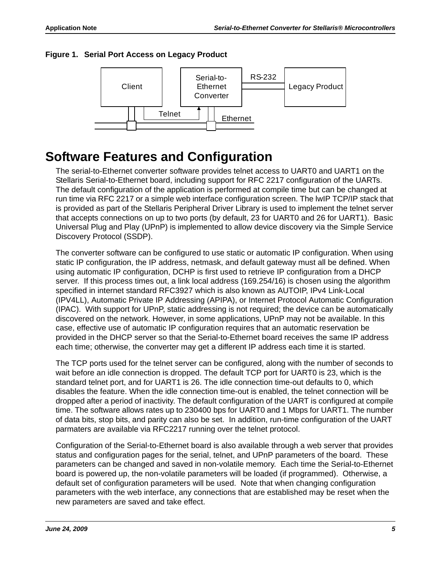#### <span id="page-4-1"></span>**Figure 1. Serial Port Access on Legacy Product**



### <span id="page-4-0"></span>**Software Features and Configuration**

The serial-to-Ethernet converter software provides telnet access to UART0 and UART1 on the Stellaris Serial-to-Ethernet board, including support for RFC 2217 configuration of the UARTs. The default configuration of the application is performed at compile time but can be changed at run time via RFC 2217 or a simple web interface configuration screen. The lwIP TCP/IP stack that is provided as part of the Stellaris Peripheral Driver Library is used to implement the telnet server that accepts connections on up to two ports (by default, 23 for UART0 and 26 for UART1). Basic Universal Plug and Play (UPnP) is implemented to allow device discovery via the Simple Service Discovery Protocol (SSDP).

The converter software can be configured to use static or automatic IP configuration. When using static IP configuration, the IP address, netmask, and default gateway must all be defined. When using automatic IP configuration, DCHP is first used to retrieve IP configuration from a DHCP server. If this process times out, a link local address (169.254/16) is chosen using the algorithm specified in internet standard RFC3927 which is also known as AUTOIP, IPv4 Link-Local (IPV4LL), Automatic Private IP Addressing (APIPA), or Internet Protocol Automatic Configuration (IPAC). With support for UPnP, static addressing is not required; the device can be automatically discovered on the network. However, in some applications, UPnP may not be available. In this case, effective use of automatic IP configuration requires that an automatic reservation be provided in the DHCP server so that the Serial-to-Ethernet board receives the same IP address each time; otherwise, the converter may get a different IP address each time it is started.

The TCP ports used for the telnet server can be configured, along with the number of seconds to wait before an idle connection is dropped. The default TCP port for UART0 is 23, which is the standard telnet port, and for UART1 is 26. The idle connection time-out defaults to 0, which disables the feature. When the idle connection time-out is enabled, the telnet connection will be dropped after a period of inactivity. The default configuration of the UART is configured at compile time. The software allows rates up to 230400 bps for UART0 and 1 Mbps for UART1. The number of data bits, stop bits, and parity can also be set. In addition, run-time configuration of the UART parmaters are available via RFC2217 running over the telnet protocol.

Configuration of the Serial-to-Ethernet board is also available through a web server that provides status and configuration pages for the serial, telnet, and UPnP parameters of the board. These parameters can be changed and saved in non-volatile memory. Each time the Serial-to-Ethernet board is powered up, the non-volatile parameters will be loaded (if programmed). Otherwise, a default set of configuration parameters will be used. Note that when changing configuration parameters with the web interface, any connections that are established may be reset when the new parameters are saved and take effect.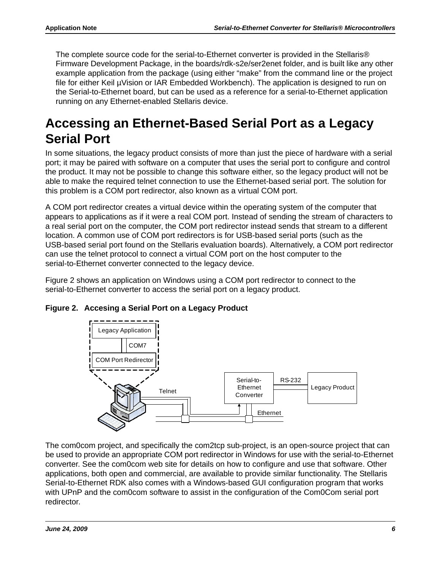The complete source code for the serial-to-Ethernet converter is provided in the Stellaris® Firmware Development Package, in the boards/rdk-s2e/ser2enet folder, and is built like any other example application from the package (using either "make" from the command line or the project file for either Keil µVision or IAR Embedded Workbench). The application is designed to run on the Serial-to-Ethernet board, but can be used as a reference for a serial-to-Ethernet application running on any Ethernet-enabled Stellaris device.

# <span id="page-5-0"></span>**Accessing an Ethernet-Based Serial Port as a Legacy Serial Port**

In some situations, the legacy product consists of more than just the piece of hardware with a serial port; it may be paired with software on a computer that uses the serial port to configure and control the product. It may not be possible to change this software either, so the legacy product will not be able to make the required telnet connection to use the Ethernet-based serial port. The solution for this problem is a COM port redirector, also known as a virtual COM port.

A COM port redirector creates a virtual device within the operating system of the computer that appears to applications as if it were a real COM port. Instead of sending the stream of characters to a real serial port on the computer, the COM port redirector instead sends that stream to a different location. A common use of COM port redirectors is for USB-based serial ports (such as the USB-based serial port found on the Stellaris evaluation boards). Alternatively, a COM port redirector can use the telnet protocol to connect a virtual COM port on the host computer to the serial-to-Ethernet converter connected to the legacy device.

[Figure 2](#page-5-1) shows an application on Windows using a COM port redirector to connect to the serial-to-Ethernet converter to access the serial port on a legacy product.



#### <span id="page-5-1"></span>**Figure 2. Accesing a Serial Port on a Legacy Product**

The com0com project, and specifically the com2tcp sub-project, is an open-source project that can be used to provide an appropriate COM port redirector in Windows for use with the serial-to-Ethernet converter. See the com0com web site for details on how to configure and use that software. Other applications, both open and commercial, are available to provide similar functionality. The Stellaris Serial-to-Ethernet RDK also comes with a Windows-based GUI configuration program that works with UPnP and the com0com software to assist in the configuration of the Com0Com serial port redirector.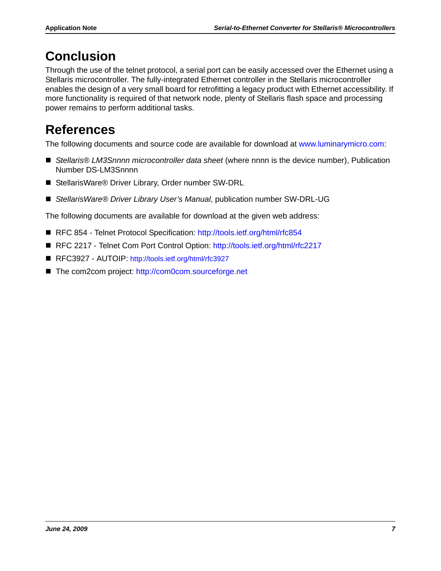# <span id="page-6-0"></span>**Conclusion**

Through the use of the telnet protocol, a serial port can be easily accessed over the Ethernet using a Stellaris microcontroller. The fully-integrated Ethernet controller in the Stellaris microcontroller enables the design of a very small board for retrofitting a legacy product with Ethernet accessibility. If more functionality is required of that network node, plenty of Stellaris flash space and processing power remains to perform additional tasks.

# <span id="page-6-1"></span>**References**

The following documents and source code are available for download at www.luminarymicro.com:

- Stellaris<sup>®</sup> LM3Snnnn microcontroller data sheet (where nnnn is the device number), Publication Number DS-LM3Snnnn
- StellarisWare® Driver Library, Order number SW-DRL
- *StellarisWare® Driver Library User's Manual*, publication number SW-DRL-UG

The following documents are available for download at the given web address:

- RFC 854 Telnet Protocol Specification: http://tools.ietf.org/html/rfc854
- RFC 2217 Telnet Com Port Control Option: http://tools.ietf.org/html/rfc2217
- RFC3927 AUTOIP: http://tools.ietf.org/html/rfc3927
- The com2com project: http://com0com.sourceforge.net